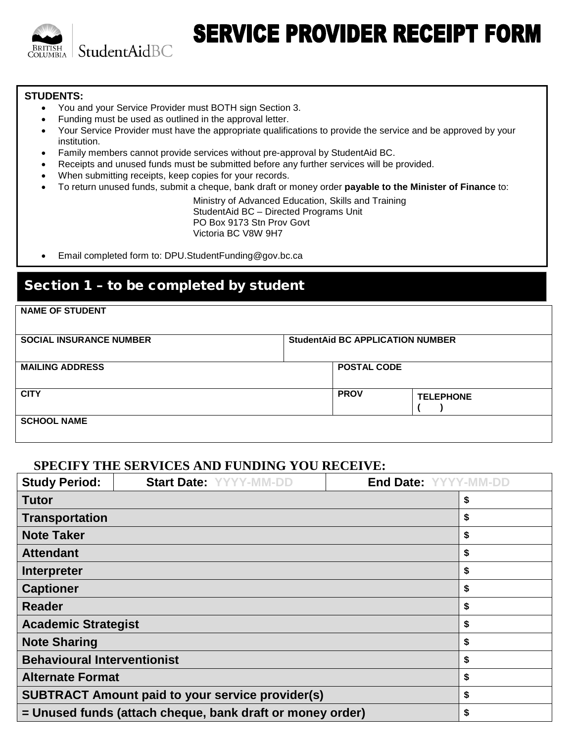

# **SERVICE PROVIDER RECEIPT FORM**

#### **STUDENTS:**

- You and your Service Provider must BOTH sign Section 3.
- Funding must be used as outlined in the approval letter.
- Your Service Provider must have the appropriate qualifications to provide the service and be approved by your institution.
- Family members cannot provide services without pre-approval by StudentAid BC.
- Receipts and unused funds must be submitted before any further services will be provided.
- When submitting receipts, keep copies for your records.
- To return unused funds, submit a cheque, bank draft or money order **payable to the Minister of Finance** to:

Ministry of Advanced Education, Skills and Training StudentAid BC – Directed Programs Unit PO Box 9173 Stn Prov Govt Victoria BC V8W 9H7

• Email completed form to: DPU.StudentFunding@gov.bc.ca

## Section 1 – to be completed by student

| <b>NAME OF STUDENT</b>         |  |                                         |                  |  |
|--------------------------------|--|-----------------------------------------|------------------|--|
| <b>SOCIAL INSURANCE NUMBER</b> |  | <b>StudentAid BC APPLICATION NUMBER</b> |                  |  |
| <b>MAILING ADDRESS</b>         |  | <b>POSTAL CODE</b>                      |                  |  |
| <b>CITY</b>                    |  | <b>PROV</b>                             | <b>TELEPHONE</b> |  |
| <b>SCHOOL NAME</b>             |  |                                         |                  |  |

### **SPECIFY THE SERVICES AND FUNDING YOU RECEIVE:**

| <b>Study Period:</b>                                            | <b>Start Date: YYYY-MM-DD</b> | End Date: YYYY-MM-DD |
|-----------------------------------------------------------------|-------------------------------|----------------------|
| <b>Tutor</b>                                                    |                               | \$                   |
| <b>Transportation</b>                                           |                               | \$                   |
| <b>Note Taker</b>                                               |                               | \$                   |
| <b>Attendant</b>                                                |                               | \$                   |
| Interpreter                                                     |                               | \$                   |
| <b>Captioner</b>                                                |                               | \$                   |
| <b>Reader</b>                                                   |                               | \$                   |
| <b>Academic Strategist</b>                                      |                               | \$                   |
| <b>Note Sharing</b>                                             |                               | \$                   |
| <b>Behavioural Interventionist</b>                              | \$                            |                      |
| <b>Alternate Format</b>                                         | \$                            |                      |
| <b>SUBTRACT Amount paid to your service provider(s)</b>         | \$                            |                      |
| = Unused funds (attach cheque, bank draft or money order)<br>\$ |                               |                      |